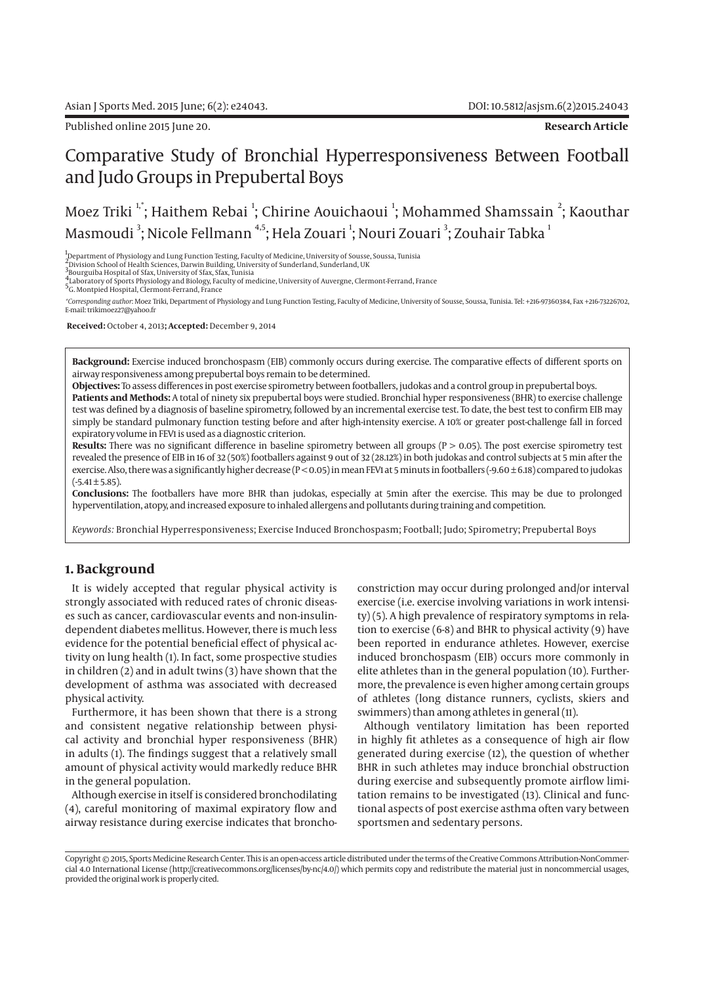Published online 2015 June 20. **Research Article**

# Comparative Study of Bronchial Hyperresponsiveness Between Football and Judo Groups in Prepubertal Boys

Moez Triki  $^{\text{!`}}$ ; Haithem Rebai  $^{\text{!`}}$ ; Chirine Aouichaoui  $^{\text{!`}}$ ; Mohammed Shamssain  $^{\text{!`}}$ ; Kaouthar Masmoudi  $^3$ ; Nicole Fellmann  $^{4,5}$ ; Hela Zouari  $^1$ ; Nouri Zouari  $^3$ ; Zouhair Tabka  $^1$ 

<sup>1</sup>Department of Physiology and Lung Function Testing, Faculty of Medicine, University of Sousse, Soussa, Tunisia

2<br>Phivision School of Health Sciences, Darwin Building, University of Sunderland, Sunderland, UK<br><sup>3</sup>Bourguiba Hospital of Sfax, University of Sfax, Sfax, Tunisia<br><sub>E</sub>Laboratory of Sports Physiology and Biology, Faculty of m

5<sub>G.</sub> Montpied Hospital, Clermont-Ferrand, France

*\*Corresponding author*: Moez Triki, Department of Physiology and Lung Function Testing, Faculty of Medicine, University of Sousse, Soussa, Tunisia. Tel: +216-97360384, Fax +216-73226702, E-mail: trikimoez27@yahoo.fr

 **Received:** October 4, 2013**; Accepted:** December 9, 2014

**Background:** Exercise induced bronchospasm (EIB) commonly occurs during exercise. The comparative effects of different sports on airway responsiveness among prepubertal boys remain to be determined.

**Objectives:** To assess differences in post exercise spirometry between footballers, judokas and a control group in prepubertal boys. **Patients and Methods:** A total of ninety six prepubertal boys were studied. Bronchial hyper responsiveness (BHR) to exercise challenge test was defined by a diagnosis of baseline spirometry, followed by an incremental exercise test. To date, the best test to confirm EIB may simply be standard pulmonary function testing before and after high-intensity exercise. A 10% or greater post-challenge fall in forced expiratory volume in FEV1 is used as a diagnostic criterion.

**Results:** There was no significant difference in baseline spirometry between all groups (P > 0.05). The post exercise spirometry test revealed the presence of EIB in 16 of 32 (50%) footballers against 9 out of 32 (28.12%) in both judokas and control subjects at 5 min after the exercise. Also, there was a significantly higher decrease (P < 0.05) in mean FEV1 at 5 minuts in footballers (-9.60 ± 6.18) compared to judokas  $(-5.41 \pm 5.85)$ .

**Conclusions:** The footballers have more BHR than judokas, especially at 5min after the exercise. This may be due to prolonged hyperventilation, atopy, and increased exposure to inhaled allergens and pollutants during training and competition.

*Keywords:* Bronchial Hyperresponsiveness; Exercise Induced Bronchospasm; Football; Judo; Spirometry; Prepubertal Boys

#### **1. Background**

It is widely accepted that regular physical activity is strongly associated with reduced rates of chronic diseases such as cancer, cardiovascular events and non-insulindependent diabetes mellitus. However, there is much less evidence for the potential beneficial effect of physical activity on lung health (1). In fact, some prospective studies in children (2) and in adult twins (3) have shown that the development of asthma was associated with decreased physical activity.

Furthermore, it has been shown that there is a strong and consistent negative relationship between physical activity and bronchial hyper responsiveness (BHR) in adults (1). The findings suggest that a relatively small amount of physical activity would markedly reduce BHR in the general population.

Although exercise in itself is considered bronchodilating (4), careful monitoring of maximal expiratory flow and airway resistance during exercise indicates that bronchoconstriction may occur during prolonged and/or interval exercise (i.e. exercise involving variations in work intensity) (5). A high prevalence of respiratory symptoms in relation to exercise (6-8) and BHR to physical activity (9) have been reported in endurance athletes. However, exercise induced bronchospasm (EIB) occurs more commonly in elite athletes than in the general population (10). Furthermore, the prevalence is even higher among certain groups of athletes (long distance runners, cyclists, skiers and swimmers) than among athletes in general (11).

Although ventilatory limitation has been reported in highly fit athletes as a consequence of high air flow generated during exercise (12), the question of whether BHR in such athletes may induce bronchial obstruction during exercise and subsequently promote airflow limitation remains to be investigated (13). Clinical and functional aspects of post exercise asthma often vary between sportsmen and sedentary persons.

Copyright © 2015, Sports Medicine Research Center. This is an open-access article distributed under the terms of the Creative Commons Attribution-NonCommercial 4.0 International License (http://creativecommons.org/licenses/by-nc/4.0/) which permits copy and redistribute the material just in noncommercial usages, provided the original work is properly cited.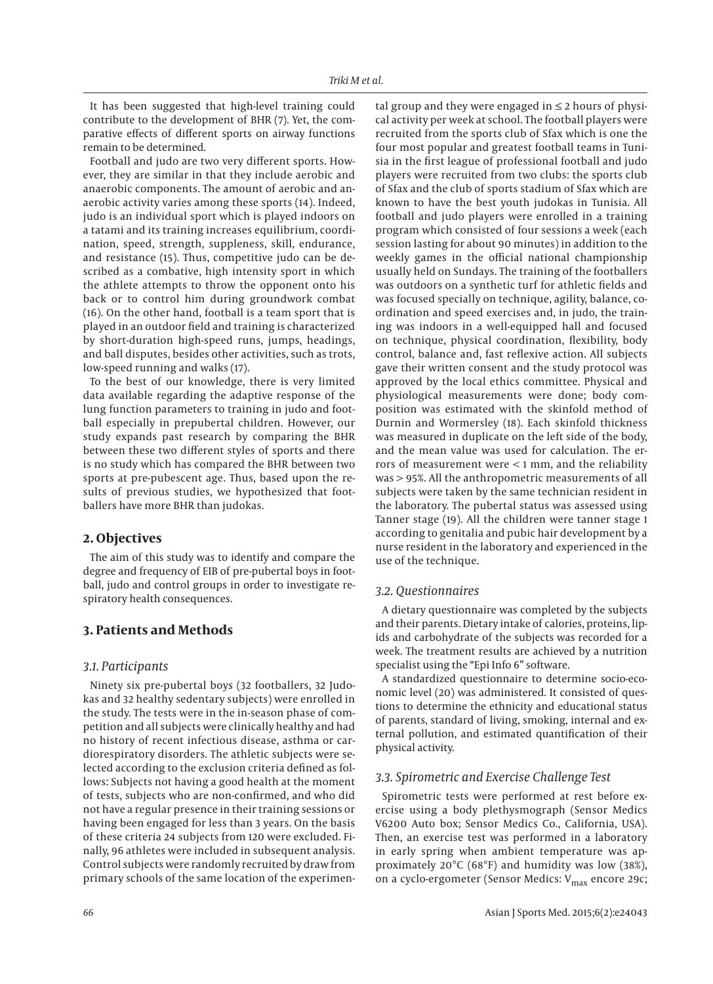It has been suggested that high-level training could contribute to the development of BHR (7). Yet, the comparative effects of different sports on airway functions remain to be determined.

Football and judo are two very different sports. However, they are similar in that they include aerobic and anaerobic components. The amount of aerobic and anaerobic activity varies among these sports (14). Indeed, judo is an individual sport which is played indoors on a tatami and its training increases equilibrium, coordination, speed, strength, suppleness, skill, endurance, and resistance (15). Thus, competitive judo can be described as a combative, high intensity sport in which the athlete attempts to throw the opponent onto his back or to control him during groundwork combat (16). On the other hand, football is a team sport that is played in an outdoor field and training is characterized by short-duration high-speed runs, jumps, headings, and ball disputes, besides other activities, such as trots, low-speed running and walks (17).

To the best of our knowledge, there is very limited data available regarding the adaptive response of the lung function parameters to training in judo and football especially in prepubertal children. However, our study expands past research by comparing the BHR between these two different styles of sports and there is no study which has compared the BHR between two sports at pre-pubescent age. Thus, based upon the results of previous studies, we hypothesized that footballers have more BHR than judokas.

# **2. Objectives**

The aim of this study was to identify and compare the degree and frequency of EIB of pre-pubertal boys in football, judo and control groups in order to investigate respiratory health consequences.

# **3. Patients and Methods**

#### *3.1. Participants*

Ninety six pre-pubertal boys (32 footballers, 32 Judokas and 32 healthy sedentary subjects) were enrolled in the study. The tests were in the in-season phase of competition and all subjects were clinically healthy and had no history of recent infectious disease, asthma or cardiorespiratory disorders. The athletic subjects were selected according to the exclusion criteria defined as follows: Subjects not having a good health at the moment of tests, subjects who are non-confirmed, and who did not have a regular presence in their training sessions or having been engaged for less than 3 years. On the basis of these criteria 24 subjects from 120 were excluded. Finally, 96 athletes were included in subsequent analysis. Control subjects were randomly recruited by draw from primary schools of the same location of the experimental group and they were engaged in  $\leq$  2 hours of physical activity per week at school. The football players were recruited from the sports club of Sfax which is one the four most popular and greatest football teams in Tunisia in the first league of professional football and judo players were recruited from two clubs: the sports club of Sfax and the club of sports stadium of Sfax which are known to have the best youth judokas in Tunisia. All football and judo players were enrolled in a training program which consisted of four sessions a week (each session lasting for about 90 minutes) in addition to the weekly games in the official national championship usually held on Sundays. The training of the footballers was outdoors on a synthetic turf for athletic fields and was focused specially on technique, agility, balance, coordination and speed exercises and, in judo, the training was indoors in a well-equipped hall and focused on technique, physical coordination, flexibility, body control, balance and, fast reflexive action. All subjects gave their written consent and the study protocol was approved by the local ethics committee. Physical and physiological measurements were done; body composition was estimated with the skinfold method of Durnin and Wormersley (18). Each skinfold thickness was measured in duplicate on the left side of the body, and the mean value was used for calculation. The errors of measurement were < 1 mm, and the reliability was > 95%. All the anthropometric measurements of all subjects were taken by the same technician resident in the laboratory. The pubertal status was assessed using Tanner stage (19). All the children were tanner stage 1 according to genitalia and pubic hair development by a nurse resident in the laboratory and experienced in the use of the technique.

#### *3.2. Questionnaires*

A dietary questionnaire was completed by the subjects and their parents. Dietary intake of calories, proteins, lipids and carbohydrate of the subjects was recorded for a week. The treatment results are achieved by a nutrition specialist using the "Epi Info 6" software.

A standardized questionnaire to determine socio-economic level (20) was administered. It consisted of questions to determine the ethnicity and educational status of parents, standard of living, smoking, internal and external pollution, and estimated quantification of their physical activity.

# *3.3. Spirometric and Exercise Challenge Test*

Spirometric tests were performed at rest before exercise using a body plethysmograph (Sensor Medics V6200 Auto box; Sensor Medics Co., California, USA). Then, an exercise test was performed in a laboratory in early spring when ambient temperature was approximately 20°C (68°F) and humidity was low (38%), on a cyclo-ergometer (Sensor Medics: V<sub>max</sub> encore 29c;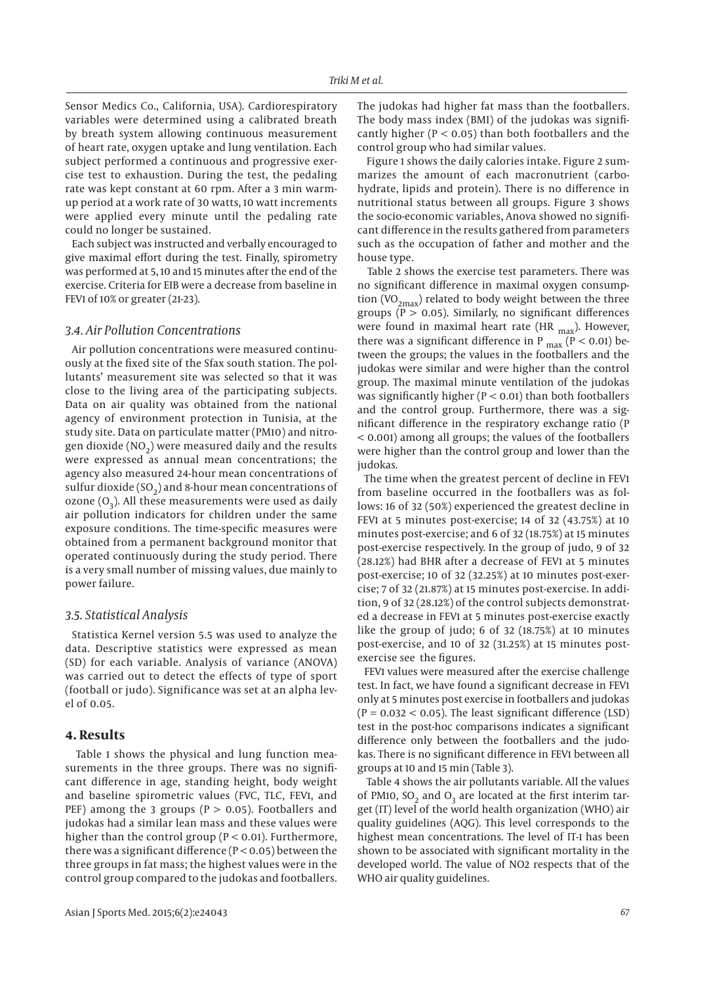Sensor Medics Co., California, USA). Cardiorespiratory variables were determined using a calibrated breath by breath system allowing continuous measurement of heart rate, oxygen uptake and lung ventilation. Each subject performed a continuous and progressive exercise test to exhaustion. During the test, the pedaling rate was kept constant at 60 rpm. After a 3 min warmup period at a work rate of 30 watts, 10 watt increments were applied every minute until the pedaling rate could no longer be sustained.

Each subject was instructed and verbally encouraged to give maximal effort during the test. Finally, spirometry was performed at 5, 10 and 15 minutes after the end of the exercise. Criteria for EIB were a decrease from baseline in FEV1 of 10% or greater (21-23).

#### *3.4. Air Pollution Concentrations*

Air pollution concentrations were measured continuously at the fixed site of the Sfax south station. The pollutants' measurement site was selected so that it was close to the living area of the participating subjects. Data on air quality was obtained from the national agency of environment protection in Tunisia, at the study site. Data on particulate matter (PM10) and nitrogen dioxide (NO<sub>2</sub>) were measured daily and the results were expressed as annual mean concentrations; the agency also measured 24-hour mean concentrations of sulfur dioxide (SO<sub>2</sub>) and 8-hour mean concentrations of ozone  $(0<sub>3</sub>)$ . All these measurements were used as daily air pollution indicators for children under the same exposure conditions. The time-specific measures were obtained from a permanent background monitor that operated continuously during the study period. There is a very small number of missing values, due mainly to power failure.

#### *3.5. Statistical Analysis*

Statistica Kernel version 5.5 was used to analyze the data. Descriptive statistics were expressed as mean (SD) for each variable. Analysis of variance (ANOVA) was carried out to detect the effects of type of sport (football or judo). Significance was set at an alpha level of 0.05.

# **4. Results**

 Table 1 shows the physical and lung function measurements in the three groups. There was no significant difference in age, standing height, body weight and baseline spirometric values (FVC, TLC, FEV1, and PEF) among the 3 groups ( $P > 0.05$ ). Footballers and judokas had a similar lean mass and these values were higher than the control group (P < 0.01). Furthermore, there was a significant difference (P < 0.05) between the three groups in fat mass; the highest values were in the control group compared to the judokas and footballers. The judokas had higher fat mass than the footballers. The body mass index (BMI) of the judokas was significantly higher ( $P < 0.05$ ) than both footballers and the control group who had similar values.

 Figure 1 shows the daily calories intake. Figure 2 summarizes the amount of each macronutrient (carbohydrate, lipids and protein). There is no difference in nutritional status between all groups. Figure 3 shows the socio-economic variables, Anova showed no significant difference in the results gathered from parameters such as the occupation of father and mother and the house type.

 Table 2 shows the exercise test parameters. There was no significant difference in maximal oxygen consumption (VO<sub>2max</sub>) related to body weight between the three groups ( $P > 0.05$ ). Similarly, no significant differences were found in maximal heart rate (HR  $_{\text{max}}$ ). However, there was a significant difference in P  $_{\text{max}}$  (P < 0.01) between the groups; the values in the footballers and the judokas were similar and were higher than the control group. The maximal minute ventilation of the judokas was significantly higher ( $P < 0.01$ ) than both footballers and the control group. Furthermore, there was a significant difference in the respiratory exchange ratio (P < 0.001) among all groups; the values of the footballers were higher than the control group and lower than the judokas.

The time when the greatest percent of decline in FEV1 from baseline occurred in the footballers was as follows: 16 of 32 (50%) experienced the greatest decline in FEV1 at 5 minutes post-exercise; 14 of 32 (43.75%) at 10 minutes post-exercise; and 6 of 32 (18.75%) at 15 minutes post-exercise respectively. In the group of judo, 9 of 32 (28.12%) had BHR after a decrease of FEV1 at 5 minutes post-exercise; 10 of 32 (32.25%) at 10 minutes post-exercise; 7 of 32 (21.87%) at 15 minutes post-exercise. In addition, 9 of 32 (28.12%) of the control subjects demonstrated a decrease in FEV1 at 5 minutes post-exercise exactly like the group of judo; 6 of 32 (18.75%) at 10 minutes post-exercise, and 10 of 32 (31.25%) at 15 minutes postexercise see the figures.

FEV1 values were measured after the exercise challenge test. In fact, we have found a significant decrease in FEV1 only at 5 minutes post exercise in footballers and judokas  $(P = 0.032 < 0.05)$ . The least significant difference (LSD) test in the post-hoc comparisons indicates a significant difference only between the footballers and the judokas. There is no significant difference in FEV1 between all groups at 10 and 15 min (Table 3).

 Table 4 shows the air pollutants variable. All the values of PM10,  $SO_2$  and  $O_3$  are located at the first interim target (IT) level of the world health organization (WHO) air quality guidelines (AQG). This level corresponds to the highest mean concentrations. The level of IT-1 has been shown to be associated with significant mortality in the developed world. The value of NO2 respects that of the WHO air quality guidelines.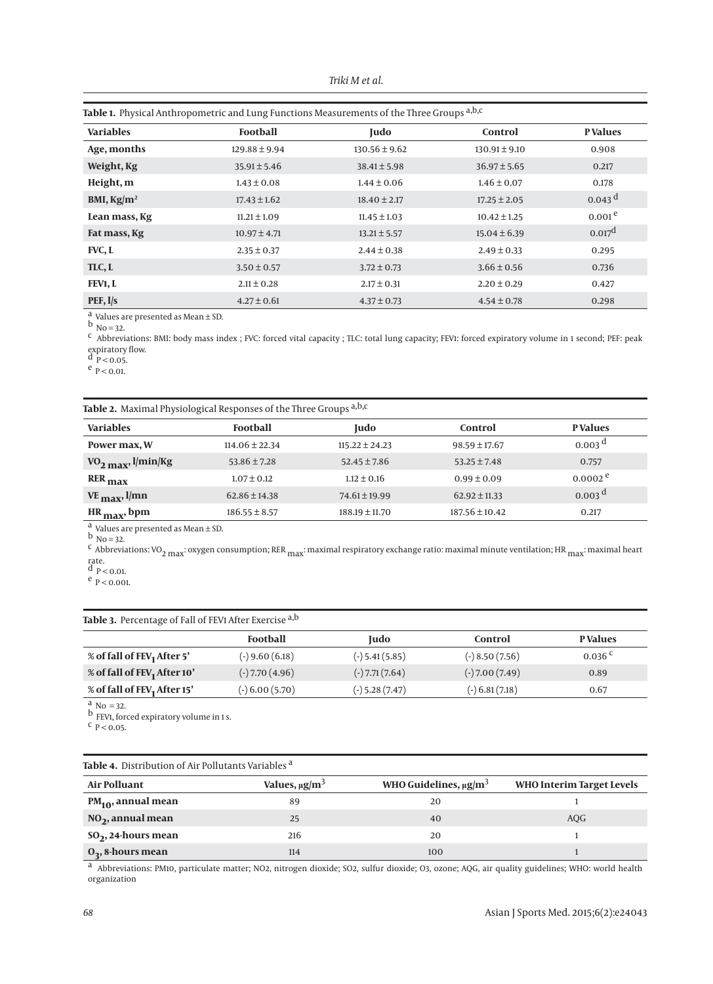## *Triki M et al.*

| Table 1. Physical Anthropometric and Lung Functions Measurements of the Three Groups <sup>a,b,c</sup> |                   |                   |                   |                      |
|-------------------------------------------------------------------------------------------------------|-------------------|-------------------|-------------------|----------------------|
| <b>Variables</b>                                                                                      | Football          | Judo              | Control           | <b>P</b> Values      |
| Age, months                                                                                           | $129.88 \pm 9.94$ | $130.56 \pm 9.62$ | $130.91 \pm 9.10$ | 0.908                |
| Weight, Kg                                                                                            | $35.91 \pm 5.46$  | $38.41 \pm 5.98$  | $36.97 \pm 5.65$  | 0.217                |
| Height, m                                                                                             | $1.43 \pm 0.08$   | $1.44 \pm 0.06$   | $1.46 \pm 0.07$   | 0.178                |
| BMI, $Kg/m^2$                                                                                         | $17.43 \pm 1.62$  | $18.40 \pm 2.17$  | $17.25 \pm 2.05$  | $0.043$ <sup>d</sup> |
| Lean mass, Kg                                                                                         | $11.21 \pm 1.09$  | $11.45 \pm 1.03$  | $10.42 \pm 1.25$  | 0.001 <sup>e</sup>   |
| Fat mass, Kg                                                                                          | $10.97 \pm 4.71$  | $13.21 \pm 5.57$  | $15.04 \pm 6.39$  | $0.017^d$            |
| FVC, L                                                                                                | $2.35 \pm 0.37$   | $2.44 \pm 0.38$   | $2.49 \pm 0.33$   | 0.295                |
| TLC, L                                                                                                | $3.50 \pm 0.57$   | $3.72 \pm 0.73$   | $3.66 \pm 0.56$   | 0.736                |
| FEV1, L                                                                                               | $2.11 \pm 0.28$   | $2.17 \pm 0.31$   | $2.20 \pm 0.29$   | 0.427                |
| PEF, 1/s                                                                                              | $4.27 \pm 0.61$   | $4.37 \pm 0.73$   | $4.54 \pm 0.78$   | 0.298                |

<sup>a</sup> Values are presented as Mean  $\pm$  SD.<br><sup>b</sup> No = 32.

<sup>C</sup> Abbreviations: BMI: body mass index ; FVC: forced vital capacity ; TLC: total lung capacity; FEV1: forced expiratory volume in 1 second; PEF: peak expiratory flow. d P < 0.05. e P < 0.01.

|  |  |  |  | <b>Table 2.</b> Maximal Physiological Responses of the Three Groups <sup>a,b,c</sup> |  |
|--|--|--|--|--------------------------------------------------------------------------------------|--|
|--|--|--|--|--------------------------------------------------------------------------------------|--|

| <b>Variables</b>            | Football           | Judo               | Control            | <b>P</b> Values     |
|-----------------------------|--------------------|--------------------|--------------------|---------------------|
| Power max, W                | $114.06 \pm 22.34$ | $115.22 \pm 24.23$ | $98.59 \pm 17.67$  | 0.003 <sup>d</sup>  |
| $VO2$ max, l/min/Kg         | $53.86 \pm 7.28$   | $52.45 \pm 7.86$   | $53.25 \pm 7.48$   | 0.757               |
| $RER_{max}$                 | $1.07 \pm 0.12$    | $1.12 \pm 0.16$    | $0.99 \pm 0.09$    | 0.0002 <sup>e</sup> |
| $VE_{\text{max}}$ , $l$ /mn | $62.86 \pm 14.38$  | $74.61 \pm 19.99$  | $62.92 \pm 11.33$  | 0.003 <sup>d</sup>  |
| $HR_{\text{max}}$ , bpm     | $186.55 \pm 8.57$  | $188.19 \pm 11.70$ | $187.56 \pm 10.42$ | 0.217               |
|                             |                    |                    |                    |                     |

<sup>a</sup> Values are presented as Mean  $\pm$  SD.<br><sup>b</sup> No = 32.

<sup>C</sup> Abbreviations: VO<sub>2 max</sub>: oxygen consumption; RER <sub>max</sub>: maximal respiratory exchange ratio: maximal minute ventilation; HR <sub>max</sub>: maximal heart

rate. d P < 0.01.

 $e$  P < 0.001.

# **Table 3.** Percentage of Fall of FEV1 After Exercise a,b

|                                         | Football            | <b>Iudo</b>         | Control          | <b>P</b> Values    |
|-----------------------------------------|---------------------|---------------------|------------------|--------------------|
| % of fall of FEV <sub>1</sub> After 5'  | $(-)$ 9.60 $(6.18)$ | $(-)$ 5.41 (5.85)   | $(-) 8.50(7.56)$ | 0.036 <sup>C</sup> |
| % of fall of FEV <sub>1</sub> After 10' | $(-) 7.70(4.96)$    | $(-) 7.71(7.64)$    | $(-) 7.00(7.49)$ | 0.89               |
| % of fall of FEV, After 15'             | $(-) 6.00(5.70)$    | $(-)$ 5.28 $(7.47)$ | $(-) 6.81(7.18)$ | 0.67               |
| $N_0 = 32$ .                            |                     |                     |                  |                    |

 $\frac{b}{c}$  FEV1, forced expiratory volume in 1 s.<br> $\frac{c}{c}$  P < 0.05.

| Air Polluant                                                                                                                                                | Values, $\mu$ g/m <sup>3</sup> | WHO Guidelines, $\mu$ g/m <sup>3</sup> | WHO Interim Target Levels |
|-------------------------------------------------------------------------------------------------------------------------------------------------------------|--------------------------------|----------------------------------------|---------------------------|
| $PM_{10}$ , annual mean                                                                                                                                     | 89                             | 20                                     |                           |
| $NO2$ , annual mean                                                                                                                                         | 25                             | 40                                     | AOG                       |
| $SO_2$ , 24-hours mean                                                                                                                                      | 216                            | 20                                     |                           |
| $O_2$ , 8-hours mean                                                                                                                                        | 114                            | 100                                    |                           |
| <sup>a</sup> Abbreviations: PM10, particulate matter; NO2, nitrogen dioxide; SO2, sulfur dioxide; O3, ozone; AQG, air quality guidelines; WHO: world health |                                |                                        |                           |

organization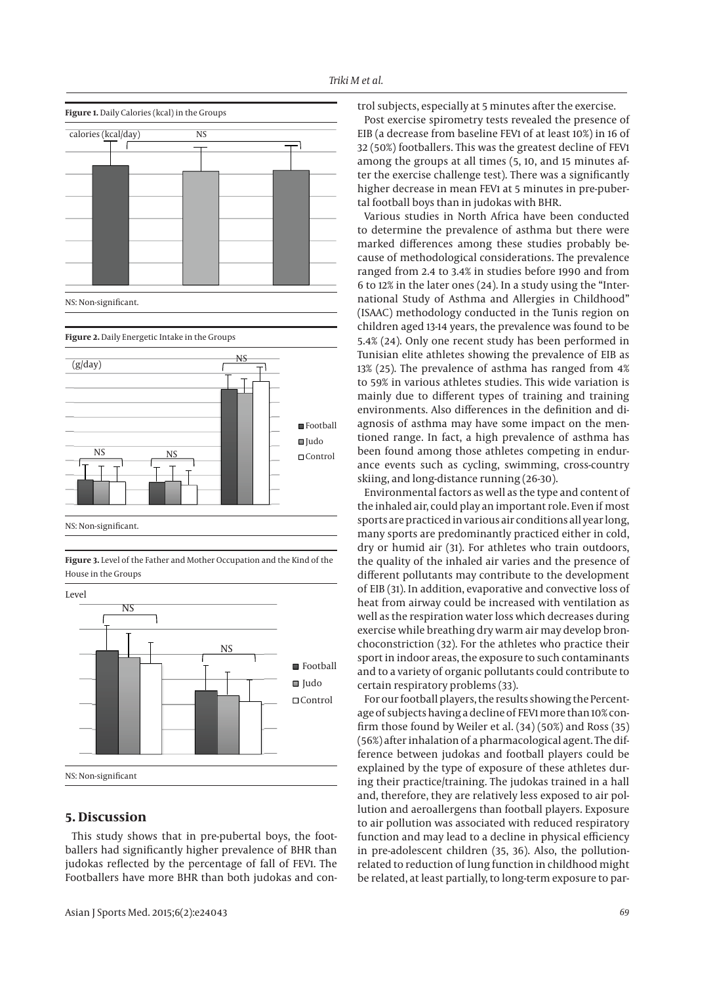

**Figure 2.** Daily Energetic Intake in the Groups ■ Football  $\blacksquare$ Iudo Control (g/day) NS NS NS NS: Non-significant.





#### **5. Discussion**

This study shows that in pre-pubertal boys, the footballers had significantly higher prevalence of BHR than judokas reflected by the percentage of fall of FEV1. The Footballers have more BHR than both judokas and control subjects, especially at 5 minutes after the exercise.

Post exercise spirometry tests revealed the presence of EIB (a decrease from baseline FEV1 of at least 10%) in 16 of 32 (50%) footballers. This was the greatest decline of FEV1 among the groups at all times (5, 10, and 15 minutes after the exercise challenge test). There was a significantly higher decrease in mean FEV1 at 5 minutes in pre-pubertal football boys than in judokas with BHR.

Various studies in North Africa have been conducted to determine the prevalence of asthma but there were marked differences among these studies probably because of methodological considerations. The prevalence ranged from 2.4 to 3.4% in studies before 1990 and from 6 to 12% in the later ones (24). In a study using the "International Study of Asthma and Allergies in Childhood" (ISAAC) methodology conducted in the Tunis region on children aged 13-14 years, the prevalence was found to be 5.4% (24). Only one recent study has been performed in Tunisian elite athletes showing the prevalence of EIB as 13% (25). The prevalence of asthma has ranged from 4% to 59% in various athletes studies. This wide variation is mainly due to different types of training and training environments. Also differences in the definition and diagnosis of asthma may have some impact on the mentioned range. In fact, a high prevalence of asthma has been found among those athletes competing in endurance events such as cycling, swimming, cross-country skiing, and long-distance running (26-30).

Environmental factors as well as the type and content of the inhaled air, could play an important role. Even if most sports are practiced in various air conditions all year long, many sports are predominantly practiced either in cold, dry or humid air (31). For athletes who train outdoors, the quality of the inhaled air varies and the presence of different pollutants may contribute to the development of EIB (31). In addition, evaporative and convective loss of heat from airway could be increased with ventilation as well as the respiration water loss which decreases during exercise while breathing dry warm air may develop bronchoconstriction (32). For the athletes who practice their sport in indoor areas, the exposure to such contaminants and to a variety of organic pollutants could contribute to certain respiratory problems (33).

For our football players, the results showing the Percentage of subjects having a decline of FEV1 more than 10% confirm those found by Weiler et al. (34) (50%) and Ross (35) (56%) after inhalation of a pharmacological agent. The difference between judokas and football players could be explained by the type of exposure of these athletes during their practice/training. The judokas trained in a hall and, therefore, they are relatively less exposed to air pollution and aeroallergens than football players. Exposure to air pollution was associated with reduced respiratory function and may lead to a decline in physical efficiency in pre-adolescent children (35, 36). Also, the pollutionrelated to reduction of lung function in childhood might be related, at least partially, to long-term exposure to par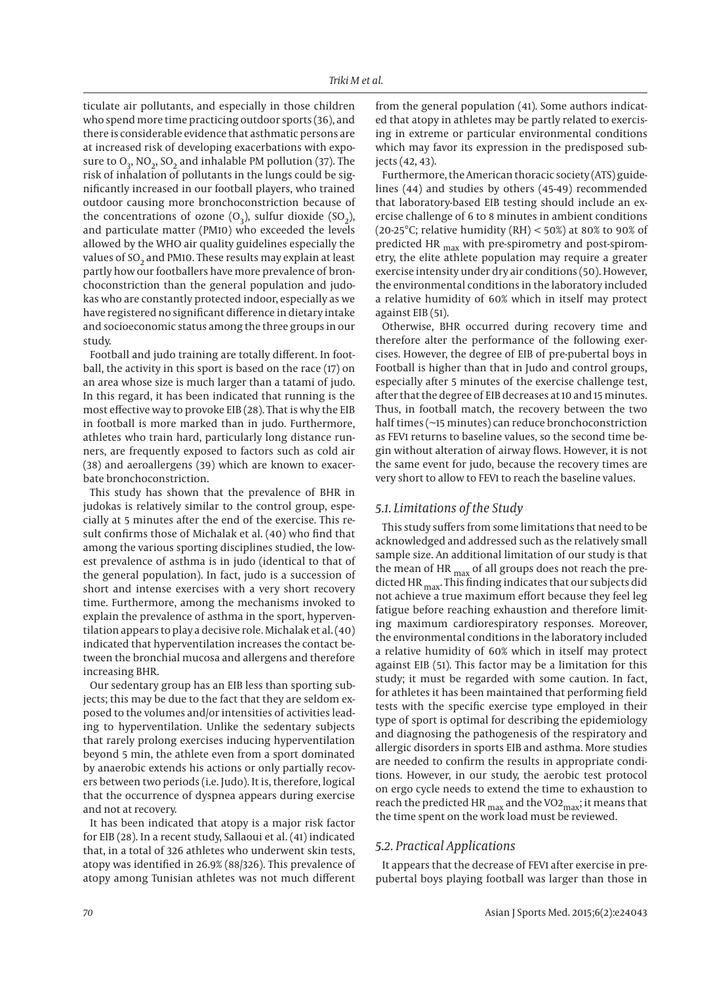ticulate air pollutants, and especially in those children who spend more time practicing outdoor sports (36), and there is considerable evidence that asthmatic persons are at increased risk of developing exacerbations with exposure to  $O_3$ , NO<sub>2</sub>, SO<sub>2</sub> and inhalable PM pollution (37). The risk of inhalation of pollutants in the lungs could be significantly increased in our football players, who trained outdoor causing more bronchoconstriction because of the concentrations of ozone  $(O_3)$ , sulfur dioxide  $(SO_2)$ , and particulate matter (PM10) who exceeded the levels allowed by the WHO air quality guidelines especially the values of SO<sub>2</sub> and PM10. These results may explain at least partly how our footballers have more prevalence of bronchoconstriction than the general population and judokas who are constantly protected indoor, especially as we have registered no significant difference in dietary intake and socioeconomic status among the three groups in our study.

Football and judo training are totally different. In football, the activity in this sport is based on the race (17) on an area whose size is much larger than a tatami of judo. In this regard, it has been indicated that running is the most effective way to provoke EIB (28). That is why the EIB in football is more marked than in judo. Furthermore, athletes who train hard, particularly long distance runners, are frequently exposed to factors such as cold air (38) and aeroallergens (39) which are known to exacerbate bronchoconstriction.

This study has shown that the prevalence of BHR in judokas is relatively similar to the control group, especially at 5 minutes after the end of the exercise. This result confirms those of Michalak et al. (40) who find that among the various sporting disciplines studied, the lowest prevalence of asthma is in judo (identical to that of the general population). In fact, judo is a succession of short and intense exercises with a very short recovery time. Furthermore, among the mechanisms invoked to explain the prevalence of asthma in the sport, hyperventilation appears to play a decisive role. Michalak et al. (40) indicated that hyperventilation increases the contact between the bronchial mucosa and allergens and therefore increasing BHR.

Our sedentary group has an EIB less than sporting subjects; this may be due to the fact that they are seldom exposed to the volumes and/or intensities of activities leading to hyperventilation. Unlike the sedentary subjects that rarely prolong exercises inducing hyperventilation beyond 5 min, the athlete even from a sport dominated by anaerobic extends his actions or only partially recovers between two periods (i.e. Judo). It is, therefore, logical that the occurrence of dyspnea appears during exercise and not at recovery.

It has been indicated that atopy is a major risk factor for EIB (28). In a recent study, Sallaoui et al. (41) indicated that, in a total of 326 athletes who underwent skin tests, atopy was identified in 26.9% (88/326). This prevalence of atopy among Tunisian athletes was not much different

from the general population (41). Some authors indicated that atopy in athletes may be partly related to exercising in extreme or particular environmental conditions which may favor its expression in the predisposed subjects (42, 43).

Furthermore, the American thoracic society (ATS) guidelines (44) and studies by others (45-49) recommended that laboratory-based EIB testing should include an exercise challenge of 6 to 8 minutes in ambient conditions (20-25°C; relative humidity (RH) < 50%) at 80% to 90% of predicted HR max with pre-spirometry and post-spirometry, the elite athlete population may require a greater exercise intensity under dry air conditions (50). However, the environmental conditions in the laboratory included a relative humidity of 60% which in itself may protect against EIB (51).

Otherwise, BHR occurred during recovery time and therefore alter the performance of the following exercises. However, the degree of EIB of pre-pubertal boys in Football is higher than that in Judo and control groups, especially after 5 minutes of the exercise challenge test, after that the degree of EIB decreases at 10 and 15 minutes. Thus, in football match, the recovery between the two half times (~15 minutes) can reduce bronchoconstriction as FEV1 returns to baseline values, so the second time begin without alteration of airway flows. However, it is not the same event for judo, because the recovery times are very short to allow to FEV1 to reach the baseline values.

# *5.1. Limitations of the Study*

This study suffers from some limitations that need to be acknowledged and addressed such as the relatively small sample size. An additional limitation of our study is that the mean of HR  $_{\text{max}}$  of all groups does not reach the predicted HR <sub>max</sub>. This finding indicates that our subjects did not achieve a true maximum effort because they feel leg fatigue before reaching exhaustion and therefore limiting maximum cardiorespiratory responses. Moreover, the environmental conditions in the laboratory included a relative humidity of 60% which in itself may protect against EIB (51). This factor may be a limitation for this study; it must be regarded with some caution. In fact, for athletes it has been maintained that performing field tests with the specific exercise type employed in their type of sport is optimal for describing the epidemiology and diagnosing the pathogenesis of the respiratory and allergic disorders in sports EIB and asthma. More studies are needed to confirm the results in appropriate conditions. However, in our study, the aerobic test protocol on ergo cycle needs to extend the time to exhaustion to reach the predicted HR  $_{\text{max}}$  and the VO2 $_{\text{max}}$ ; it means that the time spent on the work load must be reviewed.

## *5.2. Practical Applications*

It appears that the decrease of FEV1 after exercise in prepubertal boys playing football was larger than those in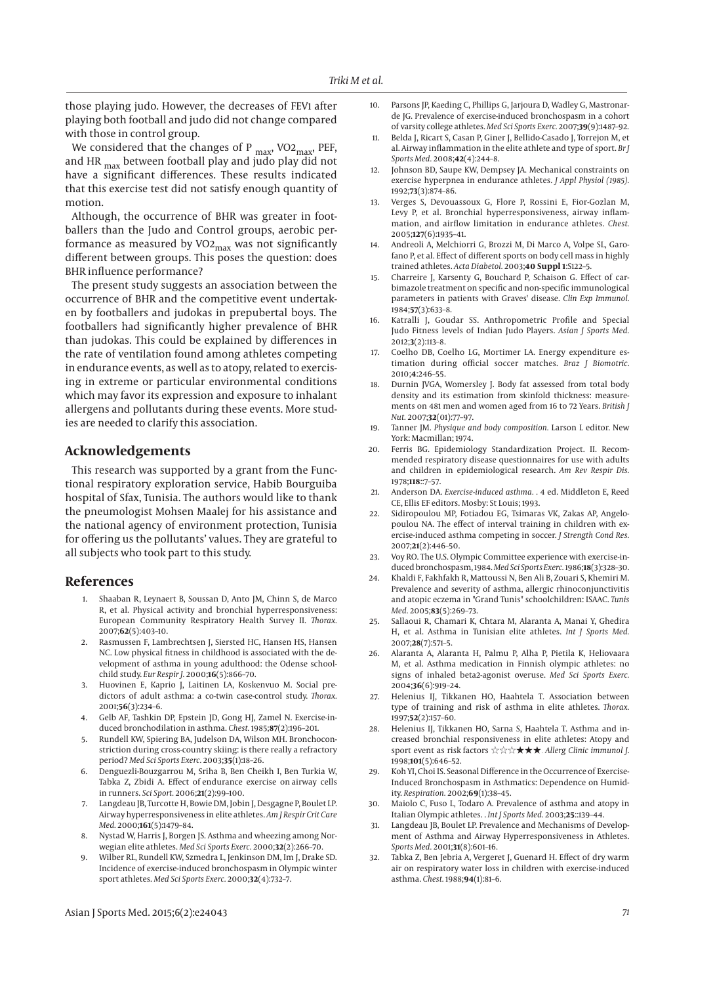those playing judo. However, the decreases of FEV1 after playing both football and judo did not change compared with those in control group.

We considered that the changes of P  $_{\text{max}}$ , VO2 $_{\text{max}}$ , PEF, and HR  $_{\text{max}}$  between football play and judo play did not have a significant differences. These results indicated that this exercise test did not satisfy enough quantity of motion.

Although, the occurrence of BHR was greater in footballers than the Judo and Control groups, aerobic performance as measured by  $VO2<sub>max</sub>$  was not significantly different between groups. This poses the question: does BHR influence performance?

The present study suggests an association between the occurrence of BHR and the competitive event undertaken by footballers and judokas in prepubertal boys. The footballers had significantly higher prevalence of BHR than judokas. This could be explained by differences in the rate of ventilation found among athletes competing in endurance events, as well as to atopy, related to exercising in extreme or particular environmental conditions which may favor its expression and exposure to inhalant allergens and pollutants during these events. More studies are needed to clarify this association.

# **Acknowledgements**

This research was supported by a grant from the Functional respiratory exploration service, Habib Bourguiba hospital of Sfax, Tunisia. The authors would like to thank the pneumologist Mohsen Maalej for his assistance and the national agency of environment protection, Tunisia for offering us the pollutants' values. They are grateful to all subjects who took part to this study.

#### **References**

- 1. Shaaban R, Leynaert B, Soussan D, Anto JM, Chinn S, de Marco R, et al. Physical activity and bronchial hyperresponsiveness: European Community Respiratory Health Survey II. *Thorax.* 2007;**62**(5):403–10.
- Rasmussen F, Lambrechtsen J, Siersted HC, Hansen HS, Hansen NC. Low physical fitness in childhood is associated with the development of asthma in young adulthood: the Odense schoolchild study. *Eur Respir J.* 2000;**16**(5):866–70.
- 3. Huovinen E, Kaprio J, Laitinen LA, Koskenvuo M. Social predictors of adult asthma: a co-twin case-control study. *Thorax.* 2001;**56**(3):234–6.
- 4. Gelb AF, Tashkin DP, Epstein JD, Gong HJ, Zamel N. Exercise-induced bronchodilation in asthma. *Chest.* 1985;**87**(2):196–201.
- 5. Rundell KW, Spiering BA, Judelson DA, Wilson MH. Bronchoconstriction during cross-country skiing: is there really a refractory period? *Med Sci Sports Exerc.* 2003;**35**(1):18–26.
- 6. Denguezli-Bouzgarrou M, Sriha B, Ben Cheikh I, Ben Turkia W, Tabka Z, Zbidi A. Effect of endurance exercise on airway cells in runners. *Sci Sport.* 2006;**21**(2):99–100.
- 7. Langdeau JB, Turcotte H, Bowie DM, Jobin J, Desgagne P, Boulet LP. Airway hyperresponsiveness in elite athletes. *Am J Respir Crit Care Med.* 2000;**161**(5):1479–84.
- 8. Nystad W, Harris J, Borgen JS. Asthma and wheezing among Norwegian elite athletes. *Med Sci Sports Exerc.* 2000;**32**(2):266–70.
- 9. Wilber RL, Rundell KW, Szmedra L, Jenkinson DM, Im J, Drake SD. Incidence of exercise-induced bronchospasm in Olympic winter sport athletes. *Med Sci Sports Exerc.* 2000;**32**(4):732–7.
- 10. Parsons JP, Kaeding C, Phillips G, Jarjoura D, Wadley G, Mastronarde JG. Prevalence of exercise-induced bronchospasm in a cohort of varsity college athletes. *Med Sci Sports Exerc.* 2007;**39**(9):1487–92.
- 11. Belda J, Ricart S, Casan P, Giner J, Bellido-Casado J, Torrejon M, et al. Airway inflammation in the elite athlete and type of sport. *Br J Sports Med.* 2008;**42**(4):244–8.
- 12. Johnson BD, Saupe KW, Dempsey JA. Mechanical constraints on exercise hyperpnea in endurance athletes. *J Appl Physiol (1985).* 1992;**73**(3):874–86.
- 13. Verges S, Devouassoux G, Flore P, Rossini E, Fior-Gozlan M, Levy P, et al. Bronchial hyperresponsiveness, airway inflammation, and airflow limitation in endurance athletes. *Chest.* 2005;**127**(6):1935–41.
- 14. Andreoli A, Melchiorri G, Brozzi M, Di Marco A, Volpe SL, Garofano P, et al. Effect of different sports on body cell mass in highly trained athletes. *Acta Diabetol.* 2003;**40 Suppl 1**:S122–5.
- 15. Charreire J, Karsenty G, Bouchard P, Schaison G. Effect of carbimazole treatment on specific and non-specific immunological parameters in patients with Graves' disease. *Clin Exp Immunol.* 1984;**57**(3):633–8.
- 16. Katralli J, Goudar SS. Anthropometric Profile and Special Judo Fitness levels of Indian Judo Players. *Asian J Sports Med.* 2012;**3**(2):113–8.
- 17. Coelho DB, Coelho LG, Mortimer LA. Energy expenditure estimation during official soccer matches. *Braz J Biomotric.* 2010;**4**:246–55.
- 18. Durnin JVGA, Womersley J. Body fat assessed from total body density and its estimation from skinfold thickness: measurements on 481 men and women aged from 16 to 72 Years. *British J Nut.* 2007;**32**(01):77–97.
- 19. Tanner JM. *Physique and body composition.* Larson L editor. New York: Macmillan; 1974.
- 20. Ferris BG. Epidemiology Standardization Project. II. Recommended respiratory disease questionnaires for use with adults and children in epidemiological research. *Am Rev Respir Dis.* 1978;**118**::7–57.
- 21. Anderson DA. *Exercise-induced asthma. .* 4 ed. Middleton E, Reed CE, Ellis EF editors. Mosby: St Louis; 1993.
- 22. Sidiropoulou MP, Fotiadou EG, Tsimaras VK, Zakas AP, Angelopoulou NA. The effect of interval training in children with exercise-induced asthma competing in soccer. *J Strength Cond Res.* 2007;**21**(2):446–50.
- 23. Voy RO. The U.S. Olympic Committee experience with exercise-induced bronchospasm, 1984. *Med Sci Sports Exerc.* 1986;**18**(3):328–30.
- 24. Khaldi F, Fakhfakh R, Mattoussi N, Ben Ali B, Zouari S, Khemiri M. Prevalence and severity of asthma, allergic rhinoconjunctivitis and atopic eczema in "Grand Tunis" schoolchildren: ISAAC. *Tunis Med.* 2005;**83**(5):269–73.
- 25. Sallaoui R, Chamari K, Chtara M, Alaranta A, Manai Y, Ghedira H, et al. Asthma in Tunisian elite athletes. *Int J Sports Med.* 2007;**28**(7):571–5.
- 26. Alaranta A, Alaranta H, Palmu P, Alha P, Pietila K, Heliovaara M, et al. Asthma medication in Finnish olympic athletes: no signs of inhaled beta2-agonist overuse. *Med Sci Sports Exerc.* 2004;**36**(6):919–24.
- 27. Helenius IJ, Tikkanen HO, Haahtela T. Association between type of training and risk of asthma in elite athletes. *Thorax.* 1997;**52**(2):157–60.
- 28. Helenius IJ, Tikkanen HO, Sarna S, Haahtela T. Asthma and increased bronchial responsiveness in elite athletes: Atopy and sport event as risk factors ☆☆☆★★★. *Allerg Clinic immunol J.* 1998;**101**(5):646–52.
- 29. Koh YI, Choi IS. Seasonal Difference in the Occurrence of Exercise-Induced Bronchospasm in Asthmatics: Dependence on Humidity. *Respiration.* 2002;**69**(1):38–45.
- 30. Maiolo C, Fuso L, Todaro A. Prevalence of asthma and atopy in Italian Olympic athletes. . *Int J Sports Med.* 2003;**25**::139–44.
- 31. Langdeau JB, Boulet LP. Prevalence and Mechanisms of Development of Asthma and Airway Hyperresponsiveness in Athletes. *Sports Med.* 2001;**31**(8):601–16.
- 32. Tabka Z, Ben Jebria A, Vergeret J, Guenard H. Effect of dry warm air on respiratory water loss in children with exercise-induced asthma. *Chest.* 1988;**94**(1):81–6.